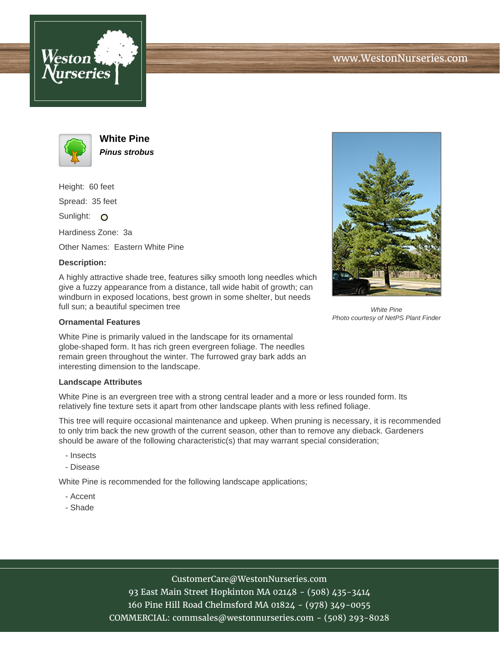



**White Pine Pinus strobus**

Height: 60 feet

Spread: 35 feet

Sunlight: O

Hardiness Zone: 3a

Other Names: Eastern White Pine

## **Description:**

A highly attractive shade tree, features silky smooth long needles which give a fuzzy appearance from a distance, tall wide habit of growth; can windburn in exposed locations, best grown in some shelter, but needs full sun; a beautiful specimen tree

## **Ornamental Features**

White Pine is primarily valued in the landscape for its ornamental globe-shaped form. It has rich green evergreen foliage. The needles remain green throughout the winter. The furrowed gray bark adds an interesting dimension to the landscape.

## **Landscape Attributes**

White Pine is an evergreen tree with a strong central leader and a more or less rounded form. Its relatively fine texture sets it apart from other landscape plants with less refined foliage.

This tree will require occasional maintenance and upkeep. When pruning is necessary, it is recommended to only trim back the new growth of the current season, other than to remove any dieback. Gardeners should be aware of the following characteristic(s) that may warrant special consideration;

- Insects
- Disease

White Pine is recommended for the following landscape applications;

- Accent
- Shade



CustomerCare@WestonNurseries.com 93 East Main Street Hopkinton MA 02148 - (508) 435-3414 160 Pine Hill Road Chelmsford MA 01824 - (978) 349-0055 COMMERCIAL: commsales@westonnurseries.com - (508) 293-8028



White Pine Photo courtesy of NetPS Plant Finder